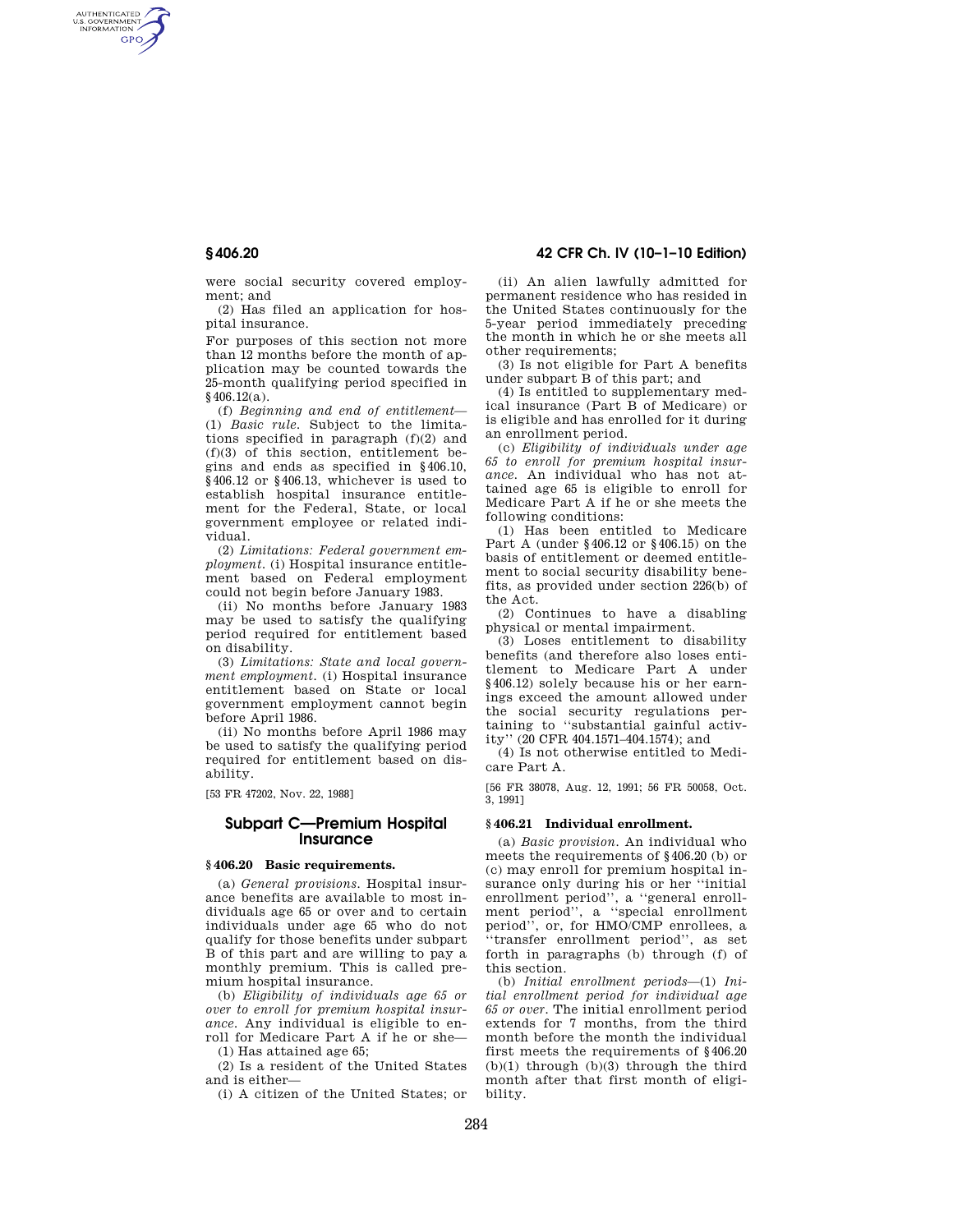AUTHENTICATED<br>U.S. GOVERNMENT<br>INFORMATION **GPO** 

**§ 406.20 42 CFR Ch. IV (10–1–10 Edition)** 

were social security covered employment; and

(2) Has filed an application for hospital insurance.

For purposes of this section not more than 12 months before the month of application may be counted towards the 25-month qualifying period specified in  $§$ 406.12(a).

(f) *Beginning and end of entitlement*— (1) *Basic rule.* Subject to the limitations specified in paragraph (f)(2) and (f)(3) of this section, entitlement begins and ends as specified in §406.10, §406.12 or §406.13, whichever is used to establish hospital insurance entitlement for the Federal, State, or local government employee or related individual.

(2) *Limitations: Federal government employment.* (i) Hospital insurance entitlement based on Federal employment could not begin before January 1983.

(ii) No months before January 1983 may be used to satisfy the qualifying period required for entitlement based on disability.

(3) *Limitations: State and local government employment.* (i) Hospital insurance entitlement based on State or local government employment cannot begin before April 1986.

(ii) No months before April 1986 may be used to satisfy the qualifying period required for entitlement based on disability.

[53 FR 47202, Nov. 22, 1988]

# **Subpart C—Premium Hospital Insurance**

## **§ 406.20 Basic requirements.**

(a) *General provisions.* Hospital insurance benefits are available to most individuals age 65 or over and to certain individuals under age 65 who do not qualify for those benefits under subpart B of this part and are willing to pay a monthly premium. This is called premium hospital insurance.

(b) *Eligibility of individuals age 65 or over to enroll for premium hospital insurance.* Any individual is eligible to enroll for Medicare Part A if he or she—

(1) Has attained age 65;

(2) Is a resident of the United States and is either—

(i) A citizen of the United States; or

(ii) An alien lawfully admitted for permanent residence who has resided in the United States continuously for the 5-year period immediately preceding the month in which he or she meets all other requirements;

(3) Is not eligible for Part A benefits under subpart B of this part; and

(4) Is entitled to supplementary medical insurance (Part B of Medicare) or is eligible and has enrolled for it during an enrollment period.

(c) *Eligibility of individuals under age 65 to enroll for premium hospital insurance.* An individual who has not attained age 65 is eligible to enroll for Medicare Part A if he or she meets the following conditions:

(1) Has been entitled to Medicare Part A (under §406.12 or §406.15) on the basis of entitlement or deemed entitlement to social security disability benefits, as provided under section 226(b) of the Act.

(2) Continues to have a disabling physical or mental impairment.

(3) Loses entitlement to disability benefits (and therefore also loses entitlement to Medicare Part A under §406.12) solely because his or her earnings exceed the amount allowed under the social security regulations pertaining to ''substantial gainful activity'' (20 CFR 404.1571–404.1574); and

(4) Is not otherwise entitled to Medicare Part A.

[56 FR 38078, Aug. 12, 1991; 56 FR 50058, Oct. 3, 1991]

#### **§ 406.21 Individual enrollment.**

(a) *Basic provision.* An individual who meets the requirements of §406.20 (b) or (c) may enroll for premium hospital insurance only during his or her ''initial enrollment period'', a ''general enrollment period'', a ''special enrollment period'', or, for HMO/CMP enrollees, a ''transfer enrollment period'', as set forth in paragraphs (b) through (f) of this section.

(b) *Initial enrollment periods*—(1) *Initial enrollment period for individual age 65 or over.* The initial enrollment period extends for 7 months, from the third month before the month the individual first meets the requirements of §406.20  $(b)(1)$  through  $(b)(3)$  through the third month after that first month of eligibility.